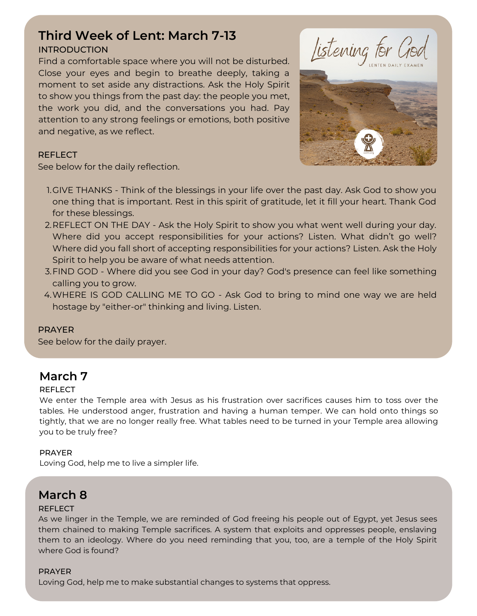# **Third Week of Lent: March 7-13**

### INTRODUCTION

Find a comfortable space where you will not be disturbed. Close your eyes and begin to breathe deeply, taking a moment to set aside any distractions. Ask the Holy Spirit to show you things from the past day: the people you met, the work you did, and the conversations you had. Pay attention to any strong feelings or emotions, both positive and negative, as we reflect.





### **REFLECT**

See below for the daily reflection.

- 1.GIVE THANKS Think of the blessings in your life over the past day. Ask God to show you one thing that is important. Rest in this spirit of gratitude, let it fill your heart. Thank God for these blessings.
- 2.REFLECT ON THE DAY Ask the Holy Spirit to show you what went well during your day. Where did you accept responsibilities for your actions? Listen. What didn't go well? Where did you fall short of accepting responsibilities for your actions? Listen. Ask the Holy Spirit to help you be aware of what needs attention.
- FIND GOD Where did you see God in your day? God's presence can feel like something 3. calling you to grow.
- WHERE IS GOD CALLING ME TO GO Ask God to bring to mind one way we are held 4. hostage by "either-or" thinking and living. Listen.

### PRAYER

See below for the daily prayer.

# **March 7**

### REFLECT

We enter the Temple area with Jesus as his frustration over sacrifices causes him to toss over the tables. He understood anger, frustration and having a human temper. We can hold onto things so tightly, that we are no longer really free. What tables need to be turned in your Temple area allowing you to be truly free?

### PRAYER

Loving God, help me to live a simpler life.

# **March 8**

### **REFLECT**

As we linger in the Temple, we are reminded of God freeing his people out of Egypt, yet Jesus sees them chained to making Temple sacrifices. A system that exploits and oppresses people, enslaving them to an ideology. Where do you need reminding that you, too, are a temple of the Holy Spirit where God is found?

### PRAYER

Loving God, help me to make substantial changes to systems that oppress.